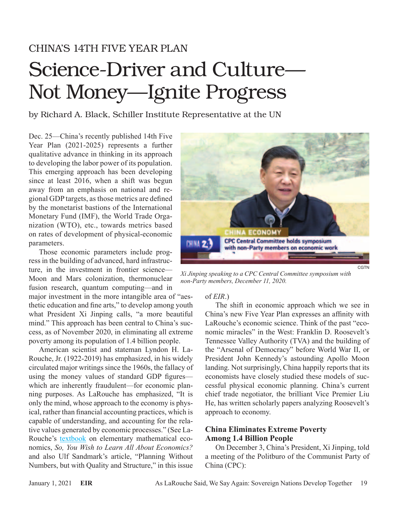## CHINA'S 14TH FIVE YEAR PLAN

# Science-Driver and Culture— Not Money—Ignite Progress

by Richard A. Black, Schiller Institute Representative at the UN

Dec. 25—China's recently published 14th Five Year Plan (2021-2025) represents a further qualitative advance in thinking in its approach to developing the labor power of its population. This emerging approach has been developing since at least 2016, when a shift was begun away from an emphasis on national and regional GDP targets, as those metrics are defined by the monetarist bastions of the International Monetary Fund (IMF), the World Trade Organization (WTO), etc., towards metrics based on rates of development of physical-economic parameters.

Those economic parameters include progress in the building of advanced, hard infrastructure, in the investment in frontier science— Moon and Mars colonization, thermonuclear fusion research, quantum computing—and in

major investment in the more intangible area of "aesthetic education and fine arts," to develop among youth what President Xi Jinping calls, "a more beautiful mind." This approach has been central to China's success, as of November 2020, in eliminating all extreme poverty among its population of 1.4 billion people.

American scientist and stateman Lyndon H. La-Rouche, Jr. (1922-2019) has emphasized, in his widely circulated major writings since the 1960s, the fallacy of using the money values of standard GDP figures which are inherently fraudulent—for economic planning purposes. As LaRouche has emphasized, "It is only the mind, whose approach to the economy is physical, rather than financial accounting practices, which is capable of understanding, and accounting for the relative values generated by economic processes." (See La-Rouche's [textbook](https://store.larouchepub.com/product-p/eirbk-1984-3-0-0.htm) on elementary mathematical economics, *So, You Wish to Learn All About Economics?* and also Ulf Sandmark's article, "Planning Without Numbers, but with Quality and Structure," in this issue



*Xi Jinping speaking to a CPC Central Committee symposium with non-Party members, December 11, 2020.*

#### of *EIR*.)

The shift in economic approach which we see in China's new Five Year Plan expresses an affinity with LaRouche's economic science. Think of the past "economic miracles" in the West: Franklin D. Roosevelt's Tennessee Valley Authority (TVA) and the building of the "Arsenal of Democracy" before World War II, or President John Kennedy's astounding Apollo Moon landing. Not surprisingly, China happily reports that its economists have closely studied these models of successful physical economic planning. China's current chief trade negotiator, the brilliant Vice Premier Liu He, has written scholarly papers analyzing Roosevelt's approach to economy.

#### **China Eliminates Extreme Poverty Among 1.4 Billion People**

On December 3, China's President, Xi Jinping, told a meeting of the Politburo of the Communist Party of China (CPC):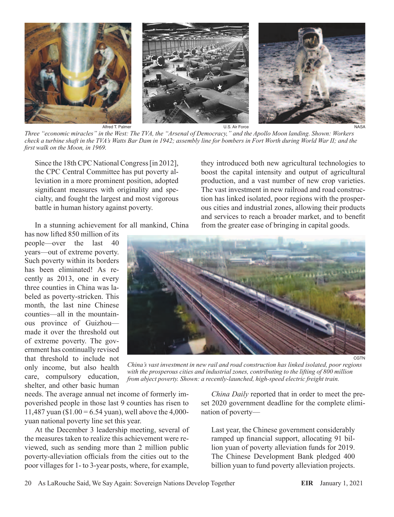

Alfred T. Palmer U.S. Air Force

NASA

*Three "economic miracles" in the West: The TVA, the "Arsenal of Democracy," and the Apollo Moon landing. Shown: Workers check a turbine shaft in the TVA's Watts Bar Dam in 1942; assembly line for bombers in Fort Worth during World War II; and the first walk on the Moon, in 1969.*

Since the 18th CPC National Congress [in 2012], the CPC Central Committee has put poverty alleviation in a more prominent position, adopted significant measures with originality and specialty, and fought the largest and most vigorous battle in human history against poverty.

In a stunning achievement for all mankind, China

has now lifted 850 million of its people—over the last 40 years—out of extreme poverty. Such poverty within its borders has been eliminated! As recently as 2013, one in every three counties in China was labeled as poverty-stricken. This month, the last nine Chinese counties—all in the mountainous province of Guizhou made it over the threshold out of extreme poverty. The government has continually revised that threshold to include not only income, but also health care, compulsory education, shelter, and other basic human



CGTN

*China's vast investment in new rail and road construction has linked isolated, poor regions with the prosperous cities and industrial zones, contributing to the lifting of 800 million from abject poverty. Shown: a recently-launched, high-speed electric freight train.*

needs. The average annual net income of formerly impoverished people in those last 9 counties has risen to 11,487 yuan (\$1.00 = 6.54 yuan), well above the 4,000yuan national poverty line set this year.

At the December 3 leadership meeting, several of the measures taken to realize this achievement were reviewed, such as sending more than 2 million public poverty-alleviation officials from the cities out to the poor villages for 1- to 3-year posts, where, for example,

*China Daily* reported that in order to meet the preset 2020 government deadline for the complete elimination of poverty—

they introduced both new agricultural technologies to boost the capital intensity and output of agricultural production, and a vast number of new crop varieties. The vast investment in new railroad and road construction has linked isolated, poor regions with the prosperous cities and industrial zones, allowing their products and services to reach a broader market, and to benefit from the greater ease of bringing in capital goods.

Last year, the Chinese government considerably ramped up financial support, allocating 91 billion yuan of poverty alleviation funds for 2019. The Chinese Development Bank pledged 400 billion yuan to fund poverty alleviation projects.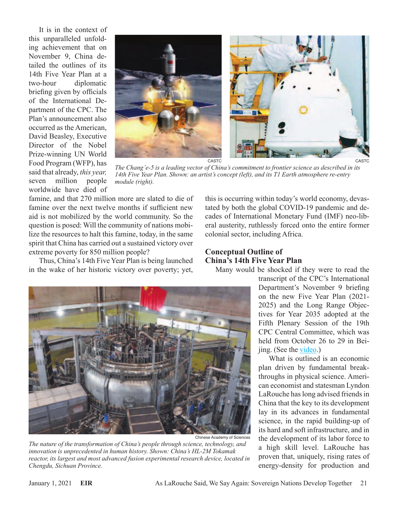It is in the context of this unparalleled unfolding achievement that on November 9, China detailed the outlines of its 14th Five Year Plan at a two-hour diplomatic briefing given by officials of the International Department of the CPC. The Plan's announcement also occurred as the American, David Beasley, Executive Director of the Nobel Prize-winning UN World Food Program (WFP), has said that already, *this year,* seven million people worldwide have died of



*The Chang'e-5 is a leading vector of China's commitment to frontier science as described in its 14th Five Year Plan. Shown: an artist's concept (left), and its T1 Earth atmosphere re-entry module (right).*

famine, and that 270 million more are slated to die of famine over the next twelve months if sufficient new aid is not mobilized by the world community. So the question is posed: Will the community of nations mobilize the resources to halt this famine, today, in the same spirit that China has carried out a sustained victory over extreme poverty for 850 million people?

Thus, China's 14th Five Year Plan is being launched in the wake of her historic victory over poverty; yet,

this is occurring within today's world economy, devastated by both the global COVID-19 pandemic and decades of International Monetary Fund (IMF) neo-liberal austerity, ruthlessly forced onto the entire former colonial sector, including Africa.

### **Conceptual Outline of China's 14th Five Year Plan**

Many would be shocked if they were to read the



*The nature of the transformation of China's people through science, technology, and innovation is unprecedented in human history. Shown: China's HL-2M Tokamak reactor, its largest and most advanced fusion experimental research device, located in Chengdu, Sichuan Province.*

transcript of the CPC's International Department's November 9 briefing on the new Five Year Plan (2021- 2025) and the Long Range Objectives for Year 2035 adopted at the Fifth Plenary Session of the 19th CPC Central Committee, which was held from October 26 to 29 in Beijing. (See the [video.](http://www.china.org.cn/video/2020-11/06/content_76881767.htm))

What is outlined is an economic plan driven by fundamental breakthroughs in physical science. American economist and statesman Lyndon LaRouche has long advised friends in China that the key to its development lay in its advances in fundamental science, in the rapid building-up of its hard and soft infrastructure, and in the development of its labor force to a high skill level. LaRouche has proven that, uniquely, rising rates of energy-density for production and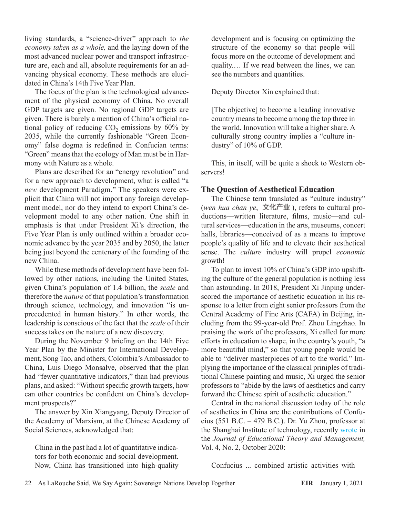living standards, a "science-driver" approach to *the economy taken as a whole,* and the laying down of the most advanced nuclear power and transport infrastructure are, each and all, absolute requirements for an advancing physical economy. These methods are elucidated in China's 14th Five Year Plan.

The focus of the plan is the technological advancement of the physical economy of China. No overall GDP targets are given. No regional GDP targets are given. There is barely a mention of China's official national policy of reducing  $CO<sub>2</sub>$  emissions by 60% by 2035, while the currently fashionable "Green Economy" false dogma is redefined in Confucian terms: "Green" means that the ecology of Man must be in Harmony with Nature as a whole.

Plans are described for an "energy revolution" and for a new approach to development, what is called "a *new* development Paradigm." The speakers were explicit that China will not import any foreign development model, nor do they intend to export China's development model to any other nation. One shift in emphasis is that under President Xi's direction, the Five Year Plan is only outlined within a broader economic advance by the year 2035 and by 2050, the latter being just beyond the centenary of the founding of the new China.

While these methods of development have been followed by other nations, including the United States, given China's population of 1.4 billion, the *scale* and therefore the *nature* of that population's transformation through science, technology, and innovation "is unprecedented in human history." In other words, the leadership is conscious of the fact that the *scale* of their success takes on the nature of a new discovery.

During the November 9 briefing on the 14th Five Year Plan by the Minister for International Development, Song Tao, and others, Colombia's Ambassador to China, Luis Diego Monsalve, observed that the plan had "fewer quantitative indicators," than had previous plans, and asked: "Without specific growth targets, how can other countries be confident on China's development prospects?"

The answer by Xin Xiangyang, Deputy Director of the Academy of Marxism, at the Chinese Academy of Social Sciences, acknowledged that:

China in the past had a lot of quantitative indicators for both economic and social development. Now, China has transitioned into high-quality development and is focusing on optimizing the structure of the economy so that people will focus more on the outcome of development and quality.… If we read between the lines, we can see the numbers and quantities.

Deputy Director Xin explained that:

[The objective] to become a leading innovative country means to become among the top three in the world. Innovation will take a higher share. A culturally strong country implies a "culture industry" of 10% of GDP.

This, in itself, will be quite a shock to Western observers!

### **The Question of Aesthetical Education**

The Chinese term translated as "culture industry" (*wen hua chan ye*, 文化产业), refers to cultural productions—written literature, films, music—and cultural services—education in the arts, museums, concert halls, libraries—conceived of as a means to improve people's quality of life and to elevate their aesthetical sense. The *culture* industry will propel *economic* growth!

To plan to invest 10% of China's GDP into upshifting the culture of the general population is nothing less than astounding. In 2018, President Xi Jinping underscored the importance of aesthetic education in his response to a letter from eight senior professors from the Central Academy of Fine Arts (CAFA) in Beijing, including from the 99-year-old Prof. Zhou Lingzhao. In praising the work of the professors, Xi called for more efforts in education to shape, in the country's youth, "a more beautiful mind," so that young people would be able to "deliver masterpieces of art to the world." Implying the importance of the classical priniples of traditional Chinese painting and music, Xi urged the senior professors to "abide by the laws of aesthetics and carry forward the Chinese spirit of aesthetic education."

Central in the national discussion today of the role of aesthetics in China are the contributions of Confucius (551 B.C.  $-479$  B.C.). Dr. Yu Zhou, professor at the Shanghai Institute of technology, recently [wrote](https://ojs.s-p.sg/index.php/jetm/article/view/4669/pdf) in the *Journal of Educational Theory and Management,* Vol. 4, No. 2, October 2020:

Confucius ... combined artistic activities with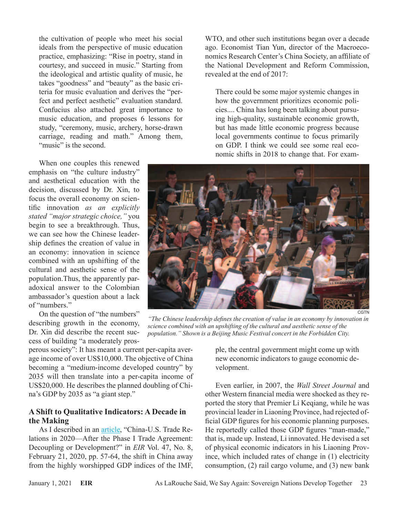the cultivation of people who meet his social ideals from the perspective of music education practice, emphasizing: "Rise in poetry, stand in courtesy, and succeed in music." Starting from the ideological and artistic quality of music, he takes "goodness" and "beauty" as the basic criteria for music evaluation and derives the "perfect and perfect aesthetic" evaluation standard. Confucius also attached great importance to music education, and proposes 6 lessons for study, "ceremony, music, archery, horse-drawn carriage, reading and math." Among them, "music" is the second.

When one couples this renewed emphasis on "the culture industry" and aesthetical education with the decision, discussed by Dr. Xin, to focus the overall economy on scientific innovation *as an explicitly stated "major strategic choice,"* you begin to see a breakthrough. Thus, we can see how the Chinese leadership defines the creation of value in an economy: innovation in science combined with an upshifting of the cultural and aesthetic sense of the population.Thus, the apparently paradoxical answer to the Colombian ambassador's question about a lack of "numbers."

On the question of "the numbers" describing growth in the economy, Dr. Xin did describe the recent success of building "a moderately pros-

perous society": It has meant a current per-capita average income of over US\$10,000. The objective of China becoming a "medium-income developed country" by 2035 will then translate into a per-capita income of US\$20,000. He describes the planned doubling of China's GDP by 2035 as "a giant step."

#### **A Shift to Qualitative Indicators: A Decade in the Making**

As I described in an *[article](https://larouchepub.com/other/2020/4708-after_the_phase_i_trade_agreem.html)*, "China-U.S. Trade Relations in 2020—After the Phase I Trade Agreement: Decoupling or Development?" in *EIR* Vol. 47, No. 8, February 21, 2020, pp. 57-64, the shift in China away from the highly worshipped GDP indices of the IMF,

WTO, and other such institutions began over a decade ago. Economist Tian Yun, director of the Macroeconomics Research Center's China Society, an affiliate of the National Development and Reform Commission, revealed at the end of 2017:

There could be some major systemic changes in how the government prioritizes economic policies.... China has long been talking about pursuing high-quality, sustainable economic growth, but has made little economic progress because local governments continue to focus primarily on GDP. I think we could see some real economic shifts in 2018 to change that. For exam-



*"The Chinese leadership defines the creation of value in an economy by innovation in science combined with an upshifting of the cultural and aesthetic sense of the population." Shown is a Beijing Music Festival concert in the Forbidden City.*

ple, the central government might come up with new economic indicators to gauge economic development.

Even earlier, in 2007, the *Wall Street Journal* and other Western financial media were shocked as they reported the story that Premier Li Keqiang, while he was provincial leader in Liaoning Province, had rejected official GDP figures for his economic planning purposes. He reportedly called those GDP figures "man-made," that is, made up. Instead, Li innovated. He devised a set of physical economic indicators in his Liaoning Province, which included rates of change in (1) electricity consumption, (2) rail cargo volume, and (3) new bank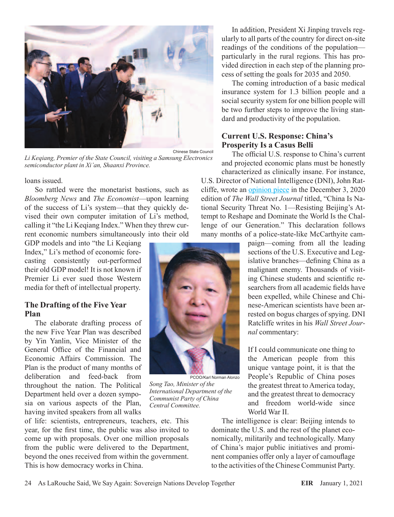

*Li Keqiang, Premier of the State Council, visiting a Samsung Electronics semiconductor plant in Xi'an, Shaanxi Province.*

loans issued.

So rattled were the monetarist bastions, such as *Bloomberg News* and *The Economist*—upon learning of the success of Li's system—that they quickly devised their own computer imitation of Li's method, calling it "the Li Keqiang Index." When they threw current economic numbers simultaneously into their old

GDP models and into "the Li Keqiang Index," Li's method of economic forecasting consistently out-performed their old GDP model! It is not known if Premier Li ever sued those Western media for theft of intellectual property.

#### **The Drafting of the Five Year Plan**

The elaborate drafting process of the new Five Year Plan was described by Yin Yanlin, Vice Minister of the General Office of the Financial and Economic Affairs Commission. The Plan is the product of many months of deliberation and feed-back from throughout the nation. The Political Department held over a dozen symposia on various aspects of the Plan, having invited speakers from all walks

of life: scientists, entrepreneurs, teachers, etc. This year, for the first time, the public was also invited to come up with proposals. Over one million proposals from the public were delivered to the Department, beyond the ones received from within the government. This is how democracy works in China.

In addition, President Xi Jinping travels regularly to all parts of the country for direct on-site readings of the conditions of the population particularly in the rural regions. This has provided direction in each step of the planning process of setting the goals for 2035 and 2050.

The coming introduction of a basic medical insurance system for 1.3 billion people and a social security system for one billion people will be two further steps to improve the living standard and productivity of the population.

#### **Current U.S. Response: China's Prosperity Is a Casus Belli**

The official U.S. response to China's current and projected economic plans must be honestly characterized as clinically insane. For instance,

U.S. Director of National Intelligence (DNI), John Ratcliffe, wrote an [opinion piece](https://www.wsj.com/articles/china-is-national-security-threat-no-1-11607019599?mod=djemalertNEWS) in the December 3, 2020 edition of *The Wall Street Journal* titled, "China Is National Security Threat No. 1—Resisting Beijing's Attempt to Reshape and Dominate the World Is the Challenge of our Generation." This declaration follows many months of a police-state-like McCarthyite cam-

> paign—coming from all the leading sections of the U.S. Executive and Legislative branches—defining China as a malignant enemy. Thousands of visiting Chinese students and scientific researchers from all academic fields have been expelled, while Chinese and Chinese-American scientists have been arrested on bogus charges of spying. DNI Ratcliffe writes in his *Wall Street Journal* commentary:

If I could communicate one thing to the American people from this unique vantage point, it is that the People's Republic of China poses the greatest threat to America today, and the greatest threat to democracy and freedom world-wide since World War II.

The intelligence is clear: Beijing intends to dominate the U.S. and the rest of the planet economically, militarily and technologically. Many of China's major public initiatives and prominent companies offer only a layer of camouflage to the activities of the Chinese Communist Party.



*Song Tao, Minister of the International Department of the Communist Party of China Central Committee.*